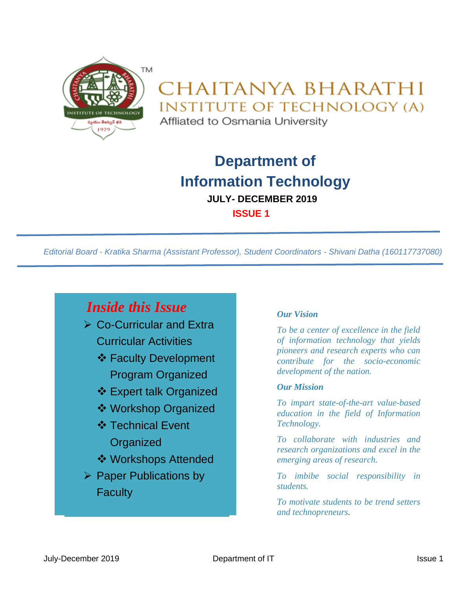

# CHAITANYA BHARATHI **INSTITUTE OF TECHNOLOGY (A)**

Affliated to Osmania University

# **Department of Information Technology JULY- DECEMBER 2019 ISSUE 1**

*Editorial Board - Kratika Sharma (Assistant Professor), Student Coordinators - Shivani Datha (160117737080)*

# *Inside this Issue*

- ➢ Co-Curricular and Extra Curricular Activities
	- ❖ Faculty Development Program Organized
	- ❖ Expert talk Organized
	- ❖ Workshop Organized
	- ❖ Technical Event **Organized**
	- ❖ Workshops Attended
- ➢ Paper Publications by **Faculty**

#### *Our Vision*

*To be a center of excellence in the field of information technology that yields pioneers and research experts who can contribute for the socio-economic development of the nation.*

#### *Our Mission*

*To impart state-of-the-art value-based education in the field of Information Technology.*

*To collaborate with industries and research organizations and excel in the emerging areas of research.*

*To imbibe social responsibility in students.*

*To motivate students to be trend setters and technopreneurs.*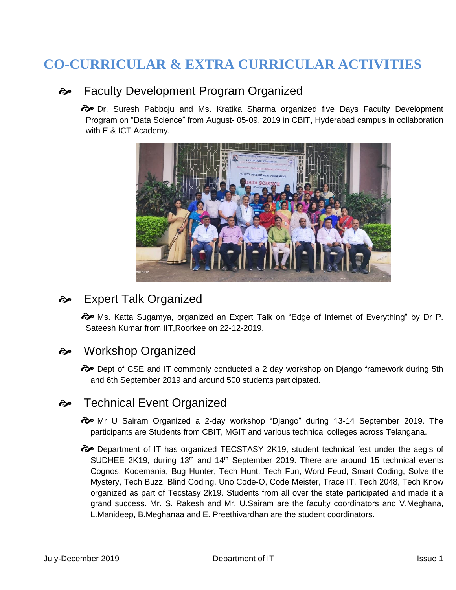## **CO-CURRICULAR & EXTRA CURRICULAR ACTIVITIES**

### Faculty Development Program Organized

 $\odot$  Dr. Suresh Pabboju and Ms. Kratika Sharma organized five Days Faculty Development Program on "Data Science" from August- 05-09, 2019 in CBIT, Hyderabad campus in collaboration with E & ICT Academy.



### Expert Talk Organized

 $\odot$  Ms. Katta Sugamya, organized an Expert Talk on "Edge of Internet of Everything" by Dr P. Sateesh Kumar from IIT,Roorkee on 22-12-2019.

### Workshop Organized

 $\odot$  Dept of CSE and IT commonly conducted a 2 day workshop on Django framework during 5th and 6th September 2019 and around 500 students participated.

### $\leftrightarrow$  Technical Event Organized

- Mr U Sairam Organized a 2-day workshop "Django" during 13-14 September 2019. The participants are Students from CBIT, MGIT and various technical colleges across Telangana.
- $\odot$  Department of IT has organized TECSTASY 2K19, student technical fest under the aegis of SUDHEE 2K19, during  $13<sup>th</sup>$  and  $14<sup>th</sup>$  September 2019. There are around 15 technical events Cognos, Kodemania, Bug Hunter, Tech Hunt, Tech Fun, Word Feud, Smart Coding, Solve the Mystery, Tech Buzz, Blind Coding, Uno Code-O, Code Meister, Trace IT, Tech 2048, Tech Know organized as part of Tecstasy 2k19. Students from all over the state participated and made it a grand success. Mr. S. Rakesh and Mr. U.Sairam are the faculty coordinators and V.Meghana, L.Manideep, B.Meghanaa and E. Preethivardhan are the student coordinators.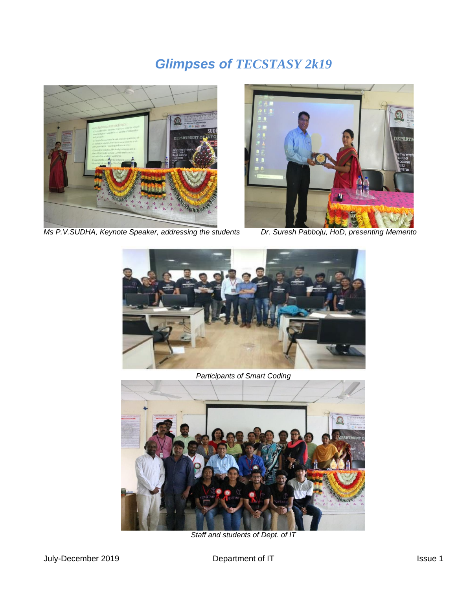# *Glimpses of TECSTASY 2k19*



*Ms P.V.SUDHA, Keynote Speaker, addressing the students Dr. Suresh Pabboju, HoD, presenting Memento* 





#### *Participants of Smart Coding*



*Staff and students of Dept. of IT*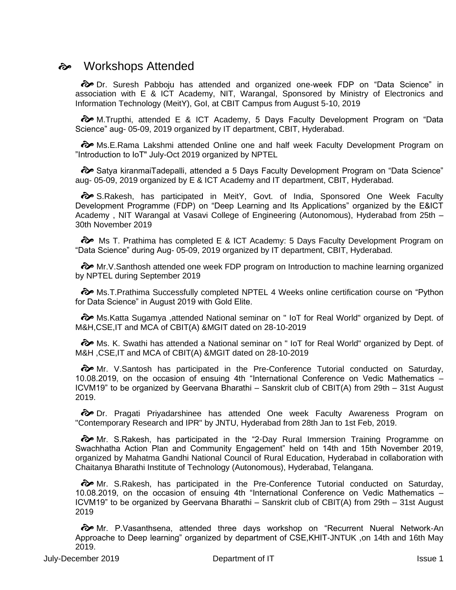#### Workshops Attended

 Dr. Suresh Pabboju has attended and organized one-week FDP on "Data Science" in association with E & ICT Academy, NIT, Warangal, Sponsored by Ministry of Electronics and Information Technology (MeitY), GoI, at CBIT Campus from August 5-10, 2019

 $\odot$  M.Trupthi, attended E & ICT Academy, 5 Days Faculty Development Program on "Data Science" aug- 05-09, 2019 organized by IT department, CBIT, Hyderabad.

 Ms.E.Rama Lakshmi attended Online one and half week Faculty Development Program on "Introduction to IoT" July-Oct 2019 organized by NPTEL

 Satya kiranmaiTadepalli, attended a 5 Days Faculty Development Program on "Data Science" aug- 05-09, 2019 organized by E & ICT Academy and IT department, CBIT, Hyderabad.

 $\diamondsuit$  S.Rakesh, has participated in MeitY, Govt. of India, Sponsored One Week Faculty Development Programme (FDP) on "Deep Learning and Its Applications" organized by the E&ICT Academy , NIT Warangal at Vasavi College of Engineering (Autonomous), Hyderabad from 25th – 30th November 2019

**a** Ms T. Prathima has completed E & ICT Academy: 5 Days Faculty Development Program on "Data Science" during Aug- 05-09, 2019 organized by IT department, CBIT, Hyderabad.

 $\diamondsuit$  Mr. V. Santhosh attended one week FDP program on Introduction to machine learning organized by NPTEL during September 2019

 $\odot$  Ms. T. Prathima Successfully completed NPTEL 4 Weeks online certification course on "Python for Data Science" in August 2019 with Gold Elite.

 $\odot$  Ms. Katta Sugamya ,attended National seminar on " IoT for Real World" organized by Dept. of M&H,CSE,IT and MCA of CBIT(A) &MGIT dated on 28-10-2019

o Ms. K. Swathi has attended a National seminar on " IoT for Real World" organized by Dept. of M&H ,CSE,IT and MCA of CBIT(A) &MGIT dated on 28-10-2019

Mr. V.Santosh has participated in the Pre-Conference Tutorial conducted on Saturday, 10.08.2019, on the occasion of ensuing 4th "International Conference on Vedic Mathematics – ICVM19" to be organized by Geervana Bharathi – Sanskrit club of CBIT(A) from 29th – 31st August 2019.

 $\hat{\mathcal{D}}$  Dr. Pragati Priyadarshinee has attended One week Faculty Awareness Program on "Contemporary Research and IPR" by JNTU, Hyderabad from 28th Jan to 1st Feb, 2019.

 $\odot$  Mr. S.Rakesh, has participated in the "2-Day Rural Immersion Training Programme on Swachhatha Action Plan and Community Engagement" held on 14th and 15th November 2019, organized by Mahatma Gandhi National Council of Rural Education, Hyderabad in collaboration with Chaitanya Bharathi Institute of Technology (Autonomous), Hyderabad, Telangana.

o Mr. S. Rakesh, has participated in the Pre-Conference Tutorial conducted on Saturday, 10.08.2019, on the occasion of ensuing 4th "International Conference on Vedic Mathematics – ICVM19" to be organized by Geervana Bharathi – Sanskrit club of CBIT(A) from 29th – 31st August 2019

**a** Mr. P. Vasanthsena, attended three days workshop on "Recurrent Nueral Network-An Approache to Deep learning" organized by department of CSE,KHIT-JNTUK ,on 14th and 16th May 2019.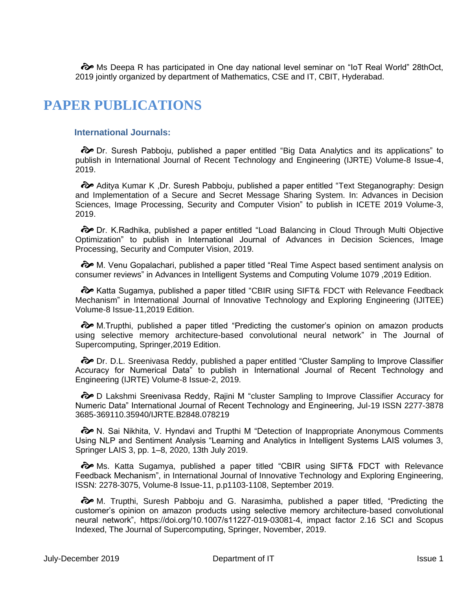o Ms Deepa R has participated in One day national level seminar on "IoT Real World" 28thOct, 2019 jointly organized by department of Mathematics, CSE and IT, CBIT, Hyderabad.

### **PAPER PUBLICATIONS**

#### **International Journals:**

 Dr. Suresh Pabboju, published a paper entitled "Big Data Analytics and its applications" to publish in International Journal of Recent Technology and Engineering (IJRTE) Volume-8 Issue-4, 2019.

 $\odot$  Aditya Kumar K, Dr. Suresh Pabboju, published a paper entitled "Text Steganography: Design and Implementation of a Secure and Secret Message Sharing System. In: Advances in Decision Sciences, Image Processing, Security and Computer Vision" to publish in ICETE 2019 Volume-3, 2019.

 $\odot$  Dr. K.Radhika, published a paper entitled "Load Balancing in Cloud Through Multi Objective Optimization" to publish in International Journal of Advances in Decision Sciences, Image Processing, Security and Computer Vision, 2019.

 $\odot$  M. Venu Gopalachari, published a paper titled "Real Time Aspect based sentiment analysis on consumer reviews" in Advances in Intelligent Systems and Computing Volume 1079 ,2019 Edition.

 $\hat{\mathcal{C}}$  Katta Sugamya, published a paper titled "CBIR using SIFT& FDCT with Relevance Feedback Mechanism" in International Journal of Innovative Technology and Exploring Engineering (IJITEE) Volume-8 Issue-11,2019 Edition.

 $\odot$  M.Trupthi, published a paper titled "Predicting the customer's opinion on amazon products using selective memory architecture-based convolutional neural network" in The Journal of Supercomputing, Springer,2019 Edition.

 $\odot$  Dr. D.L. Sreenivasa Reddy, published a paper entitled "Cluster Sampling to Improve Classifier Accuracy for Numerical Data" to publish in International Journal of Recent Technology and Engineering (IJRTE) Volume-8 Issue-2, 2019.

 $\hat{\mathcal{D}}$  D Lakshmi Sreenivasa Reddy, Rajini M "cluster Sampling to Improve Classifier Accuracy for Numeric Data" International Journal of Recent Technology and Engineering, Jul-19 ISSN 2277-3878 3685-369110.35940/IJRTE.B2848.078219

 $\odot$  N. Sai Nikhita, V. Hyndavi and Trupthi M "Detection of Inappropriate Anonymous Comments Using NLP and Sentiment Analysis "Learning and Analytics in Intelligent Systems LAIS volumes 3, Springer LAIS 3, pp. 1–8, 2020, 13th July 2019.

 Ms. Katta Sugamya, published a paper titled "CBIR using SIFT& FDCT with Relevance Feedback Mechanism", in International Journal of Innovative Technology and Exploring Engineering, ISSN: 2278-3075, Volume-8 Issue-11, p.p1103-1108, September 2019.

 $\odot$  M. Trupthi, Suresh Pabboju and G. Narasimha, published a paper titled, "Predicting the customer's opinion on amazon products using selective memory architecture‑based convolutional neural network", https://doi.org/10.1007/s11227-019-03081-4, impact factor 2.16 SCI and Scopus Indexed, The Journal of Supercomputing, Springer, November, 2019.